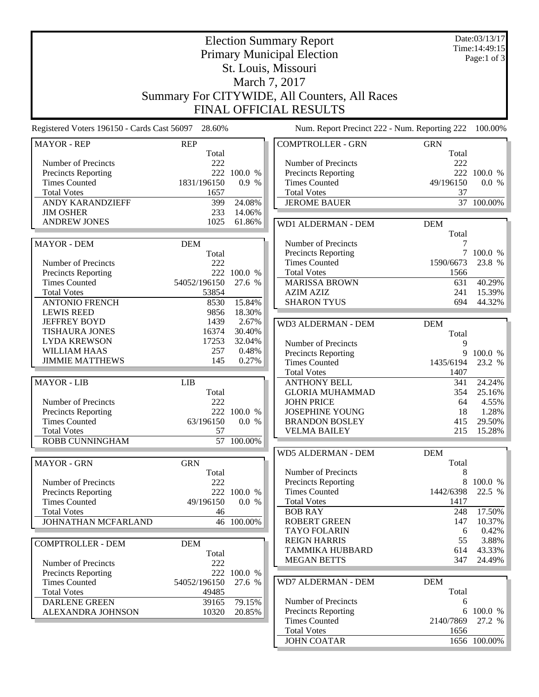| <b>Election Summary Report</b>                                 |                |                               |                                               |                   | Date:03/13/17             |  |  |  |  |
|----------------------------------------------------------------|----------------|-------------------------------|-----------------------------------------------|-------------------|---------------------------|--|--|--|--|
|                                                                |                | Time: 14:49:15<br>Page:1 of 3 |                                               |                   |                           |  |  |  |  |
|                                                                |                |                               |                                               |                   |                           |  |  |  |  |
|                                                                |                |                               | St. Louis, Missouri                           |                   |                           |  |  |  |  |
| March 7, 2017<br>Summary For CITYWIDE, All Counters, All Races |                |                               |                                               |                   |                           |  |  |  |  |
|                                                                |                |                               |                                               |                   |                           |  |  |  |  |
|                                                                |                |                               | <b>FINAL OFFICIAL RESULTS</b>                 |                   |                           |  |  |  |  |
| Registered Voters 196150 - Cards Cast 56097 28.60%             |                |                               | Num. Report Precinct 222 - Num. Reporting 222 |                   | 100.00%                   |  |  |  |  |
| <b>MAYOR - REP</b>                                             | <b>REP</b>     |                               | <b>COMPTROLLER - GRN</b>                      | <b>GRN</b>        |                           |  |  |  |  |
|                                                                | Total          |                               |                                               | Total             |                           |  |  |  |  |
| Number of Precincts<br>Precincts Reporting                     | 222            | 222 100.0 %                   | Number of Precincts<br>Precincts Reporting    | 222               | 222 100.0 %               |  |  |  |  |
| <b>Times Counted</b>                                           | 1831/196150    | 0.9%                          | <b>Times Counted</b>                          | 49/196150         | 0.0 %                     |  |  |  |  |
| <b>Total Votes</b>                                             | 1657           |                               | <b>Total Votes</b>                            | 37                |                           |  |  |  |  |
| <b>ANDY KARANDZIEFF</b>                                        | 399            | 24.08%                        | <b>JEROME BAUER</b>                           |                   | 37 100.00%                |  |  |  |  |
| <b>JIM OSHER</b>                                               | 233            | 14.06%                        |                                               |                   |                           |  |  |  |  |
| <b>ANDREW JONES</b>                                            | 1025           | 61.86%                        | <b>WD1 ALDERMAN - DEM</b>                     | <b>DEM</b>        |                           |  |  |  |  |
|                                                                |                |                               |                                               | Total             |                           |  |  |  |  |
| <b>MAYOR - DEM</b>                                             | <b>DEM</b>     |                               | Number of Precincts                           | 7                 |                           |  |  |  |  |
|                                                                | Total          |                               | <b>Precincts Reporting</b>                    | 7                 | 100.0 %                   |  |  |  |  |
| Number of Precincts                                            | 222            |                               | <b>Times Counted</b>                          | 1590/6673         | 23.8 %                    |  |  |  |  |
| <b>Precincts Reporting</b>                                     |                | 222 100.0 %                   | <b>Total Votes</b>                            | 1566              |                           |  |  |  |  |
| <b>Times Counted</b>                                           | 54052/196150   | 27.6 %                        | <b>MARISSA BROWN</b>                          | 631               | 40.29%                    |  |  |  |  |
| <b>Total Votes</b>                                             | 53854          |                               | <b>AZIM AZIZ</b>                              | 241               | 15.39%                    |  |  |  |  |
| <b>ANTONIO FRENCH</b>                                          | 8530           | 15.84%                        | <b>SHARON TYUS</b>                            | 694               | 44.32%                    |  |  |  |  |
| <b>LEWIS REED</b>                                              | 9856           | 18.30%                        |                                               |                   |                           |  |  |  |  |
| <b>JEFFREY BOYD</b>                                            | 1439           | 2.67%                         | WD3 ALDERMAN - DEM                            | <b>DEM</b>        |                           |  |  |  |  |
| <b>TISHAURA JONES</b><br><b>LYDA KREWSON</b>                   | 16374<br>17253 | 30.40%<br>32.04%              |                                               | Total             |                           |  |  |  |  |
| <b>WILLIAM HAAS</b>                                            | 257            | 0.48%                         | Number of Precincts                           | 9                 |                           |  |  |  |  |
| <b>JIMMIE MATTHEWS</b>                                         | 145            | 0.27%                         | Precincts Reporting                           | 9                 | 100.0 %                   |  |  |  |  |
|                                                                |                |                               | <b>Times Counted</b><br><b>Total Votes</b>    | 1435/6194<br>1407 | 23.2 %                    |  |  |  |  |
| <b>MAYOR - LIB</b>                                             | <b>LIB</b>     |                               | <b>ANTHONY BELL</b>                           | 341               | 24.24%                    |  |  |  |  |
|                                                                | Total          |                               | <b>GLORIA MUHAMMAD</b>                        | 354               | 25.16%                    |  |  |  |  |
| Number of Precincts                                            | 222            |                               | <b>JOHN PRICE</b>                             | 64                | 4.55%                     |  |  |  |  |
| Precincts Reporting                                            | 222            | 100.0 %                       | <b>JOSEPHINE YOUNG</b>                        | 18                | 1.28%                     |  |  |  |  |
| <b>Times Counted</b>                                           | 63/196150      | 0.0 %                         | <b>BRANDON BOSLEY</b>                         | 415               | 29.50%                    |  |  |  |  |
| <b>Total Votes</b>                                             | 57             |                               | VELMA BAILEY                                  | 215               | 15.28%                    |  |  |  |  |
| <b>ROBB CUNNINGHAM</b>                                         |                | 57 100.00%                    |                                               |                   |                           |  |  |  |  |
|                                                                |                |                               | <b>WD5 ALDERMAN - DEM</b>                     | <b>DEM</b>        |                           |  |  |  |  |
| <b>MAYOR - GRN</b>                                             | <b>GRN</b>     |                               |                                               | Total             |                           |  |  |  |  |
|                                                                | Total          |                               | Number of Precincts                           | 8                 |                           |  |  |  |  |
| Number of Precincts                                            | 222            |                               | <b>Precincts Reporting</b>                    |                   | 8 100.0 %                 |  |  |  |  |
| Precincts Reporting                                            |                | 222 100.0 %                   | <b>Times Counted</b>                          | 1442/6398         | 22.5 %                    |  |  |  |  |
| <b>Times Counted</b>                                           | 49/196150      | 0.0 %                         | <b>Total Votes</b>                            | 1417              |                           |  |  |  |  |
| <b>Total Votes</b>                                             | 46             |                               | <b>BOB RAY</b>                                | 248               | 17.50%                    |  |  |  |  |
| JOHNATHAN MCFARLAND                                            |                | 46 100.00%                    | <b>ROBERT GREEN</b><br><b>TAYO FOLARIN</b>    | 147<br>6          | 10.37%<br>0.42%           |  |  |  |  |
|                                                                |                |                               | <b>REIGN HARRIS</b>                           | 55                | 3.88%                     |  |  |  |  |
| <b>COMPTROLLER - DEM</b>                                       | <b>DEM</b>     |                               | <b>TAMMIKA HUBBARD</b>                        | 614               | 43.33%                    |  |  |  |  |
|                                                                | Total          |                               | <b>MEGAN BETTS</b>                            | 347               | 24.49%                    |  |  |  |  |
| Number of Precincts                                            | 222            |                               |                                               |                   |                           |  |  |  |  |
| <b>Precincts Reporting</b><br><b>Times Counted</b>             | 54052/196150   | 222 100.0 %<br>27.6 %         | WD7 ALDERMAN - DEM                            | <b>DEM</b>        |                           |  |  |  |  |
| <b>Total Votes</b>                                             | 49485          |                               |                                               | Total             |                           |  |  |  |  |
| <b>DARLENE GREEN</b>                                           | 39165          | 79.15%                        | Number of Precincts                           | 6                 |                           |  |  |  |  |
| ALEXANDRA JOHNSON                                              | 10320          | 20.85%                        | Precincts Reporting                           |                   | 6 100.0 %                 |  |  |  |  |
|                                                                |                |                               | <b>Times Counted</b>                          | 2140/7869         | 27.2 %                    |  |  |  |  |
|                                                                |                |                               | <b>Total Votes</b>                            | 1656              |                           |  |  |  |  |
|                                                                |                |                               | <b>JOHN COATAR</b>                            |                   | $\overline{1656}$ 100.00% |  |  |  |  |
|                                                                |                |                               |                                               |                   |                           |  |  |  |  |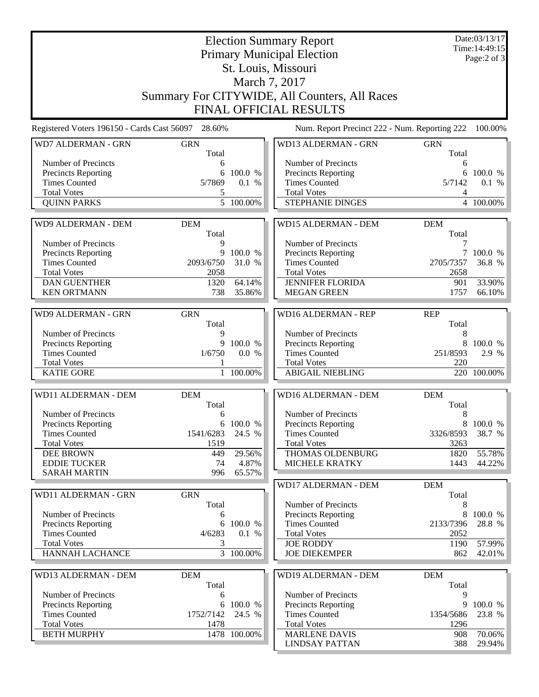|                                                    |                     | Date:03/13/17<br>Time: 14:49:15 |                                                          |                     |             |  |  |  |  |
|----------------------------------------------------|---------------------|---------------------------------|----------------------------------------------------------|---------------------|-------------|--|--|--|--|
|                                                    |                     |                                 | <b>Primary Municipal Election</b><br>St. Louis, Missouri |                     | Page:2 of 3 |  |  |  |  |
|                                                    |                     |                                 |                                                          |                     |             |  |  |  |  |
| March 7, 2017                                      |                     |                                 |                                                          |                     |             |  |  |  |  |
| Summary For CITYWIDE, All Counters, All Races      |                     |                                 |                                                          |                     |             |  |  |  |  |
|                                                    |                     |                                 |                                                          |                     |             |  |  |  |  |
| <b>FINAL OFFICIAL RESULTS</b>                      |                     |                                 |                                                          |                     |             |  |  |  |  |
| Registered Voters 196150 - Cards Cast 56097 28.60% |                     |                                 | Num. Report Precinct 222 - Num. Reporting 222            |                     | 100.00%     |  |  |  |  |
| WD7 ALDERMAN - GRN                                 | <b>GRN</b><br>Total |                                 | WD13 ALDERMAN - GRN                                      | <b>GRN</b><br>Total |             |  |  |  |  |
| Number of Precincts                                | 6                   |                                 | Number of Precincts                                      | 6                   |             |  |  |  |  |
| <b>Precincts Reporting</b>                         | 6                   | 100.0 %                         | Precincts Reporting                                      | 6                   | 100.0 %     |  |  |  |  |
| <b>Times Counted</b>                               | 5/7869              | 0.1 %                           | <b>Times Counted</b>                                     | 5/7142              | 0.1 %       |  |  |  |  |
| <b>Total Votes</b>                                 | 5                   |                                 | <b>Total Votes</b>                                       | 4                   |             |  |  |  |  |
| <b>QUINN PARKS</b>                                 |                     | $\overline{5}$ 100.00%          | STEPHANIE DINGES                                         |                     | 4 100.00%   |  |  |  |  |
|                                                    |                     |                                 |                                                          |                     |             |  |  |  |  |
| <b>WD9 ALDERMAN - DEM</b>                          | <b>DEM</b><br>Total |                                 | <b>WD15 ALDERMAN - DEM</b>                               | <b>DEM</b><br>Total |             |  |  |  |  |
| Number of Precincts                                | 9                   |                                 | Number of Precincts                                      | 7                   |             |  |  |  |  |
| <b>Precincts Reporting</b>                         | 9                   | 100.0 %                         | Precincts Reporting                                      |                     | 7 100.0 %   |  |  |  |  |
| <b>Times Counted</b>                               | 2093/6750           | 31.0 %                          | <b>Times Counted</b>                                     | 2705/7357           | 36.8 %      |  |  |  |  |
| <b>Total Votes</b>                                 | 2058                |                                 | <b>Total Votes</b>                                       | 2658                |             |  |  |  |  |
| <b>DAN GUENTHER</b>                                | 1320                | 64.14%                          | <b>JENNIFER FLORIDA</b>                                  | 901                 | 33.90%      |  |  |  |  |
| <b>KEN ORTMANN</b>                                 | 738                 | 35.86%                          | <b>MEGAN GREEN</b>                                       | 1757                | 66.10%      |  |  |  |  |
|                                                    |                     |                                 |                                                          |                     |             |  |  |  |  |
| WD9 ALDERMAN - GRN                                 | <b>GRN</b>          |                                 | <b>WD16 ALDERMAN - REP</b>                               | <b>REP</b>          |             |  |  |  |  |
|                                                    | Total               |                                 |                                                          | Total               |             |  |  |  |  |
| Number of Precincts                                | 9                   |                                 | Number of Precincts                                      | 8                   |             |  |  |  |  |
| Precincts Reporting                                | 9                   | 100.0 %                         | Precincts Reporting                                      | 8                   | 100.0 %     |  |  |  |  |
| <b>Times Counted</b><br><b>Total Votes</b>         | 1/6750              | 0.0 %                           | <b>Times Counted</b><br><b>Total Votes</b>               | 251/8593<br>220     | 2.9 %       |  |  |  |  |
| <b>KATIE GORE</b>                                  |                     | 1 100.00%                       | <b>ABIGAIL NIEBLING</b>                                  |                     | 220 100.00% |  |  |  |  |
|                                                    |                     |                                 |                                                          |                     |             |  |  |  |  |
| WD11 ALDERMAN - DEM                                | <b>DEM</b>          |                                 | <b>WD16 ALDERMAN - DEM</b>                               | <b>DEM</b>          |             |  |  |  |  |
| Number of Precincts                                | Total<br>6          |                                 | Number of Precincts                                      | Total<br>8          |             |  |  |  |  |
| <b>Precincts Reporting</b>                         |                     | 6 100.0 %                       | Precincts Reporting                                      | 8                   | 100.0 %     |  |  |  |  |
| <b>Times Counted</b>                               | 1541/6283           | 24.5 %                          | <b>Times Counted</b>                                     | 3326/8593           | 38.7 %      |  |  |  |  |
| <b>Total Votes</b>                                 | 1519                |                                 | <b>Total Votes</b>                                       | 3263                |             |  |  |  |  |
| <b>DEE BROWN</b>                                   | 449                 | 29.56%                          | THOMAS OLDENBURG                                         | 1820                | 55.78%      |  |  |  |  |
| <b>EDDIE TUCKER</b>                                | 74                  | 4.87%                           | MICHELE KRATKY                                           | 1443                | 44.22%      |  |  |  |  |
| <b>SARAH MARTIN</b>                                | 996                 | 65.57%                          |                                                          |                     |             |  |  |  |  |
|                                                    |                     |                                 | <b>WD17 ALDERMAN - DEM</b>                               | <b>DEM</b>          |             |  |  |  |  |
| WD11 ALDERMAN - GRN                                | <b>GRN</b>          |                                 |                                                          | Total               |             |  |  |  |  |
|                                                    | Total               |                                 | Number of Precincts                                      | 8                   |             |  |  |  |  |
| Number of Precincts                                | 6                   |                                 | Precincts Reporting                                      | 8                   | 100.0 %     |  |  |  |  |
| Precincts Reporting<br><b>Times Counted</b>        | 6<br>4/6283         | 100.0 %                         | <b>Times Counted</b>                                     | 2133/7396           | 28.8 %      |  |  |  |  |
| <b>Total Votes</b>                                 | 3                   | 0.1 %                           | <b>Total Votes</b><br><b>JOE RODDY</b>                   | 2052<br>1190        | 57.99%      |  |  |  |  |
| <b>HANNAH LACHANCE</b>                             |                     | $3 - 100.00\%$                  | <b>JOE DIEKEMPER</b>                                     | 862                 | 42.01%      |  |  |  |  |
|                                                    |                     |                                 |                                                          |                     |             |  |  |  |  |
| WD13 ALDERMAN - DEM                                | <b>DEM</b>          |                                 | WD19 ALDERMAN - DEM                                      | <b>DEM</b>          |             |  |  |  |  |
|                                                    | Total               |                                 |                                                          | Total               |             |  |  |  |  |
| Number of Precincts                                | 6                   |                                 | Number of Precincts                                      | 9                   |             |  |  |  |  |
| Precincts Reporting                                |                     | 6 100.0 %                       | Precincts Reporting                                      | 9                   | 100.0 %     |  |  |  |  |
| <b>Times Counted</b>                               | 1752/7142           | 24.5 %                          | <b>Times Counted</b>                                     | 1354/5686           | 23.8 %      |  |  |  |  |
| <b>Total Votes</b><br><b>BETH MURPHY</b>           | 1478                | 1478 100.00%                    | <b>Total Votes</b><br><b>MARLENE DAVIS</b>               | 1296<br>908         | $70.06\%$   |  |  |  |  |
|                                                    |                     |                                 | <b>LINDSAY PATTAN</b>                                    | 388                 | 29.94%      |  |  |  |  |
|                                                    |                     |                                 |                                                          |                     |             |  |  |  |  |